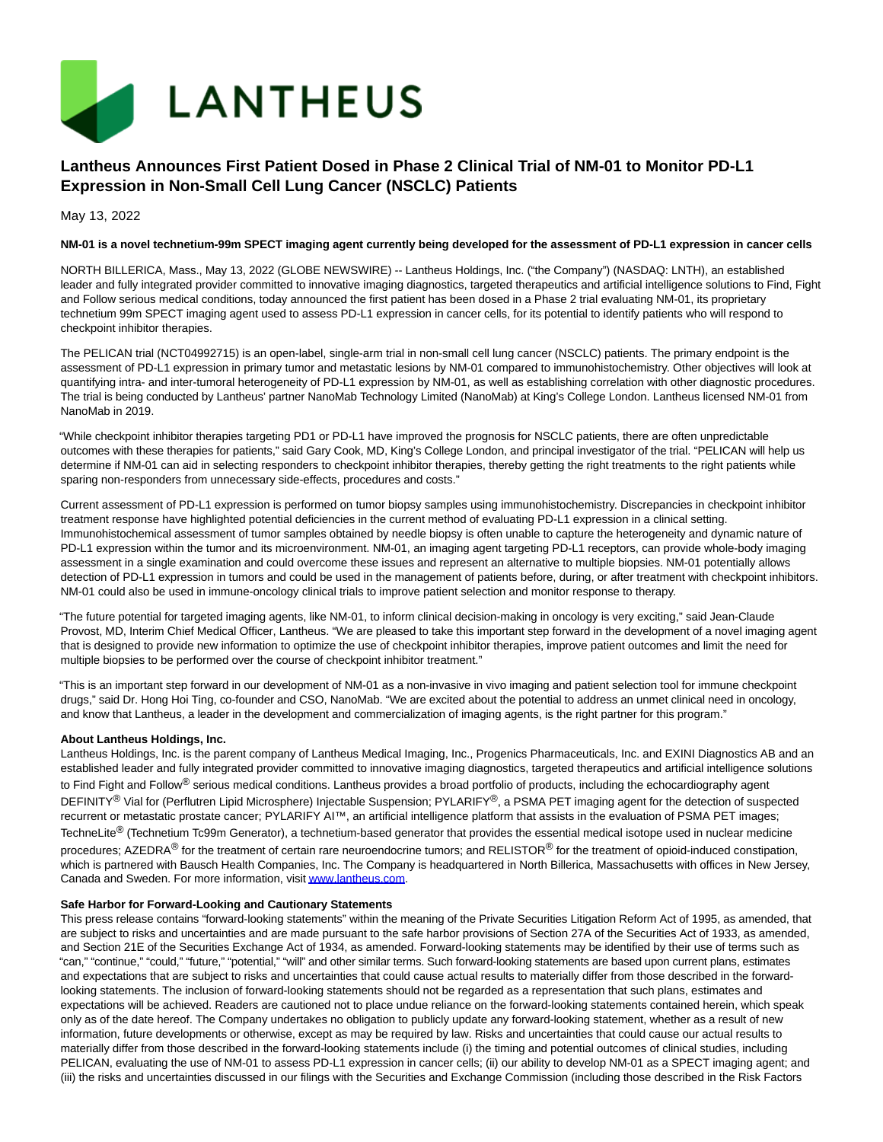

# **Lantheus Announces First Patient Dosed in Phase 2 Clinical Trial of NM-01 to Monitor PD-L1 Expression in Non-Small Cell Lung Cancer (NSCLC) Patients**

May 13, 2022

### **NM-01 is a novel technetium-99m SPECT imaging agent currently being developed for the assessment of PD-L1 expression in cancer cells**

NORTH BILLERICA, Mass., May 13, 2022 (GLOBE NEWSWIRE) -- Lantheus Holdings, Inc. ("the Company") (NASDAQ: LNTH), an established leader and fully integrated provider committed to innovative imaging diagnostics, targeted therapeutics and artificial intelligence solutions to Find, Fight and Follow serious medical conditions, today announced the first patient has been dosed in a Phase 2 trial evaluating NM-01, its proprietary technetium 99m SPECT imaging agent used to assess PD-L1 expression in cancer cells, for its potential to identify patients who will respond to checkpoint inhibitor therapies.

The PELICAN trial (NCT04992715) is an open-label, single-arm trial in non-small cell lung cancer (NSCLC) patients. The primary endpoint is the assessment of PD-L1 expression in primary tumor and metastatic lesions by NM-01 compared to immunohistochemistry. Other objectives will look at quantifying intra- and inter-tumoral heterogeneity of PD-L1 expression by NM-01, as well as establishing correlation with other diagnostic procedures. The trial is being conducted by Lantheus' partner NanoMab Technology Limited (NanoMab) at King's College London. Lantheus licensed NM-01 from NanoMab in 2019.

"While checkpoint inhibitor therapies targeting PD1 or PD-L1 have improved the prognosis for NSCLC patients, there are often unpredictable outcomes with these therapies for patients," said Gary Cook, MD, King's College London, and principal investigator of the trial. "PELICAN will help us determine if NM-01 can aid in selecting responders to checkpoint inhibitor therapies, thereby getting the right treatments to the right patients while sparing non-responders from unnecessary side-effects, procedures and costs."

Current assessment of PD-L1 expression is performed on tumor biopsy samples using immunohistochemistry. Discrepancies in checkpoint inhibitor treatment response have highlighted potential deficiencies in the current method of evaluating PD-L1 expression in a clinical setting. Immunohistochemical assessment of tumor samples obtained by needle biopsy is often unable to capture the heterogeneity and dynamic nature of PD-L1 expression within the tumor and its microenvironment. NM-01, an imaging agent targeting PD-L1 receptors, can provide whole-body imaging assessment in a single examination and could overcome these issues and represent an alternative to multiple biopsies. NM-01 potentially allows detection of PD-L1 expression in tumors and could be used in the management of patients before, during, or after treatment with checkpoint inhibitors. NM-01 could also be used in immune-oncology clinical trials to improve patient selection and monitor response to therapy.

"The future potential for targeted imaging agents, like NM-01, to inform clinical decision-making in oncology is very exciting," said Jean-Claude Provost, MD, Interim Chief Medical Officer, Lantheus. "We are pleased to take this important step forward in the development of a novel imaging agent that is designed to provide new information to optimize the use of checkpoint inhibitor therapies, improve patient outcomes and limit the need for multiple biopsies to be performed over the course of checkpoint inhibitor treatment."

"This is an important step forward in our development of NM-01 as a non-invasive in vivo imaging and patient selection tool for immune checkpoint drugs," said Dr. Hong Hoi Ting, co-founder and CSO, NanoMab. "We are excited about the potential to address an unmet clinical need in oncology, and know that Lantheus, a leader in the development and commercialization of imaging agents, is the right partner for this program."

### **About Lantheus Holdings, Inc.**

Lantheus Holdings, Inc. is the parent company of Lantheus Medical Imaging, Inc., Progenics Pharmaceuticals, Inc. and EXINI Diagnostics AB and an established leader and fully integrated provider committed to innovative imaging diagnostics, targeted therapeutics and artificial intelligence solutions to Find Fight and Follow<sup>®</sup> serious medical conditions. Lantheus provides a broad portfolio of products, including the echocardiography agent DEFINITY<sup>®</sup> Vial for (Perflutren Lipid Microsphere) Injectable Suspension; PYLARIFY<sup>®</sup>, a PSMA PET imaging agent for the detection of suspected recurrent or metastatic prostate cancer; PYLARIFY AI™, an artificial intelligence platform that assists in the evaluation of PSMA PET images; TechneLite<sup>®</sup> (Technetium Tc99m Generator), a technetium-based generator that provides the essential medical isotope used in nuclear medicine procedures; AZEDRA<sup>®</sup> for the treatment of certain rare neuroendocrine tumors; and RELISTOR<sup>®</sup> for the treatment of opioid-induced constipation, which is partnered with Bausch Health Companies, Inc. The Company is headquartered in North Billerica, Massachusetts with offices in New Jersey, Canada and Sweden. For more information, visi[t www.lantheus.com.](https://www.globenewswire.com/Tracker?data=B-mMem_5HtjfkAcJt8MlTsgBJDCbGZy3ZLobPewnpaLOoj2-xxqF-z9XaWpK1hyq_XUlGKAwXcbbb3Tm_RUsdQ==)

#### **Safe Harbor for Forward-Looking and Cautionary Statements**

This press release contains "forward-looking statements" within the meaning of the Private Securities Litigation Reform Act of 1995, as amended, that are subject to risks and uncertainties and are made pursuant to the safe harbor provisions of Section 27A of the Securities Act of 1933, as amended, and Section 21E of the Securities Exchange Act of 1934, as amended. Forward-looking statements may be identified by their use of terms such as "can," "continue," "could," "future," "potential," "will" and other similar terms. Such forward-looking statements are based upon current plans, estimates and expectations that are subject to risks and uncertainties that could cause actual results to materially differ from those described in the forwardlooking statements. The inclusion of forward-looking statements should not be regarded as a representation that such plans, estimates and expectations will be achieved. Readers are cautioned not to place undue reliance on the forward-looking statements contained herein, which speak only as of the date hereof. The Company undertakes no obligation to publicly update any forward-looking statement, whether as a result of new information, future developments or otherwise, except as may be required by law. Risks and uncertainties that could cause our actual results to materially differ from those described in the forward-looking statements include (i) the timing and potential outcomes of clinical studies, including PELICAN, evaluating the use of NM-01 to assess PD-L1 expression in cancer cells; (ii) our ability to develop NM-01 as a SPECT imaging agent; and (iii) the risks and uncertainties discussed in our filings with the Securities and Exchange Commission (including those described in the Risk Factors